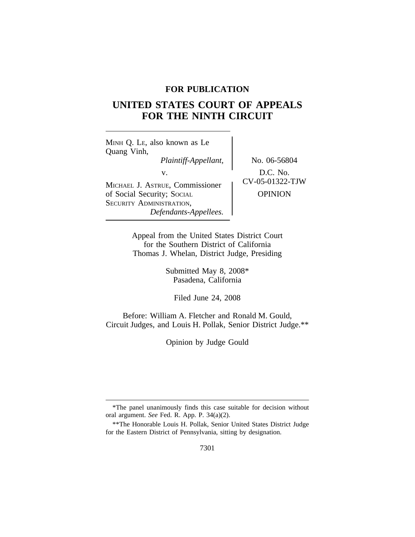## **FOR PUBLICATION**

## **UNITED STATES COURT OF APPEALS FOR THE NINTH CIRCUIT**

<sup>M</sup>INH Q. LE, also known as Le Quang Vinh, *Plaintiff-Appellant,* No. 06-56804 v.  $D.C. No.$ <br>  $UV-05-01322-TJW$ MICHAEL J. ASTRUE, Commissioner of Social Security; SOCIAL OPINION SECURITY ADMINISTRATION, *Defendants-Appellees.*

Appeal from the United States District Court for the Southern District of California Thomas J. Whelan, District Judge, Presiding

> Submitted May 8, 2008\* Pasadena, California

Filed June 24, 2008

Before: William A. Fletcher and Ronald M. Gould, Circuit Judges, and Louis H. Pollak, Senior District Judge.\*\*

Opinion by Judge Gould

<sup>\*</sup>The panel unanimously finds this case suitable for decision without oral argument. *See* Fed. R. App. P. 34(a)(2).

<sup>\*\*</sup>The Honorable Louis H. Pollak, Senior United States District Judge for the Eastern District of Pennsylvania, sitting by designation.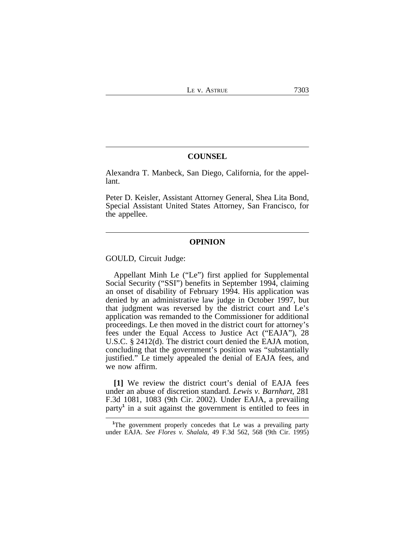## **COUNSEL**

Alexandra T. Manbeck, San Diego, California, for the appellant.

Peter D. Keisler, Assistant Attorney General, Shea Lita Bond, Special Assistant United States Attorney, San Francisco, for the appellee.

## **OPINION**

GOULD, Circuit Judge:

Appellant Minh Le ("Le") first applied for Supplemental Social Security ("SSI") benefits in September 1994, claiming an onset of disability of February 1994. His application was denied by an administrative law judge in October 1997, but that judgment was reversed by the district court and Le's application was remanded to the Commissioner for additional proceedings. Le then moved in the district court for attorney's fees under the Equal Access to Justice Act ("EAJA"), 28 U.S.C. § 2412(d). The district court denied the EAJA motion, concluding that the government's position was "substantially justified." Le timely appealed the denial of EAJA fees, and we now affirm.

**[1]** We review the district court's denial of EAJA fees under an abuse of discretion standard. *Lewis v. Barnhart*, 281 F.3d 1081, 1083 (9th Cir. 2002). Under EAJA, a prevailing party**<sup>1</sup>** in a suit against the government is entitled to fees in

**<sup>1</sup>**The government properly concedes that Le was a prevailing party under EAJA. *See Flores v. Shalala*, 49 F.3d 562, 568 (9th Cir. 1995)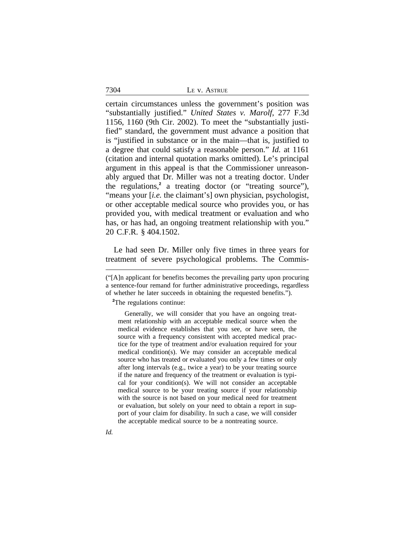| ASTRUE |
|--------|
|--------|

certain circumstances unless the government's position was "substantially justified." *United States v. Marolf*, 277 F.3d 1156, 1160 (9th Cir. 2002). To meet the "substantially justified" standard, the government must advance a position that is "justified in substance or in the main—that is, justified to a degree that could satisfy a reasonable person." *Id.* at 1161 (citation and internal quotation marks omitted). Le's principal argument in this appeal is that the Commissioner unreasonably argued that Dr. Miller was not a treating doctor. Under the regulations,**<sup>2</sup>** a treating doctor (or "treating source"), "means your [*i.e.* the claimant's] own physician, psychologist, or other acceptable medical source who provides you, or has provided you, with medical treatment or evaluation and who has, or has had, an ongoing treatment relationship with you." 20 C.F.R. § 404.1502.

Le had seen Dr. Miller only five times in three years for treatment of severe psychological problems. The Commis-

**<sup>2</sup>**The regulations continue:

Generally, we will consider that you have an ongoing treatment relationship with an acceptable medical source when the medical evidence establishes that you see, or have seen, the source with a frequency consistent with accepted medical practice for the type of treatment and/or evaluation required for your medical condition(s). We may consider an acceptable medical source who has treated or evaluated you only a few times or only after long intervals (e.g., twice a year) to be your treating source if the nature and frequency of the treatment or evaluation is typical for your condition(s). We will not consider an acceptable medical source to be your treating source if your relationship with the source is not based on your medical need for treatment or evaluation, but solely on your need to obtain a report in support of your claim for disability. In such a case, we will consider the acceptable medical source to be a nontreating source.

7304

*Id.*

<sup>(&</sup>quot;[A]n applicant for benefits becomes the prevailing party upon procuring a sentence-four remand for further administrative proceedings, regardless of whether he later succeeds in obtaining the requested benefits.").